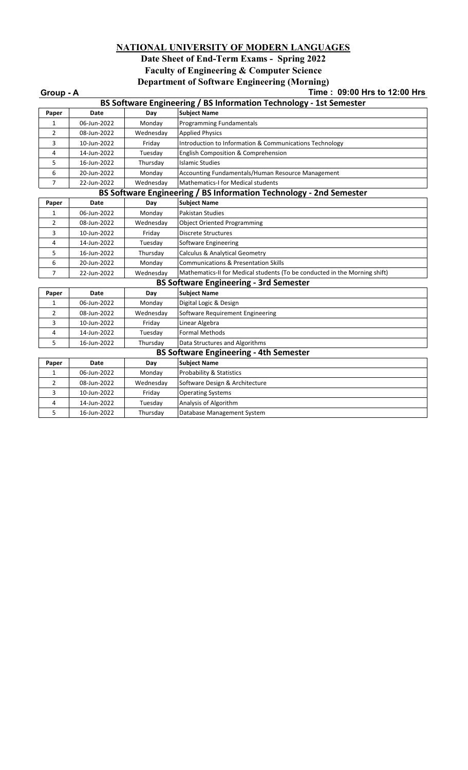## **NATIONAL UNIVERSITY OF MODERN LANGUAGES**

**Date Sheet of End-Term Exams - Spring 2022**

**Faculty of Engineering & Computer Science**

## **Department of Software Engineering (Morning)**

| Group - A                                                          |                                               |           | Time: 09:00 Hrs to 12:00 Hrs                                               |  |  |  |  |
|--------------------------------------------------------------------|-----------------------------------------------|-----------|----------------------------------------------------------------------------|--|--|--|--|
|                                                                    |                                               |           | BS Software Engineering / BS Information Technology - 1st Semester         |  |  |  |  |
| Paper                                                              | Date                                          | Day       | <b>Subject Name</b>                                                        |  |  |  |  |
| 1                                                                  | 06-Jun-2022                                   | Monday    | Programming Fundamentals                                                   |  |  |  |  |
| $\overline{2}$                                                     | 08-Jun-2022                                   | Wednesday | <b>Applied Physics</b>                                                     |  |  |  |  |
| 3                                                                  | 10-Jun-2022                                   | Friday    | Introduction to Information & Communications Technology                    |  |  |  |  |
| 4                                                                  | 14-Jun-2022                                   | Tuesday   | English Composition & Comprehension                                        |  |  |  |  |
| 5                                                                  | 16-Jun-2022                                   | Thursday  | <b>Islamic Studies</b>                                                     |  |  |  |  |
| 6                                                                  | 20-Jun-2022                                   | Monday    | Accounting Fundamentals/Human Resource Management                          |  |  |  |  |
| 7                                                                  | 22-Jun-2022                                   | Wednesday | <b>Mathematics-I for Medical students</b>                                  |  |  |  |  |
| BS Software Engineering / BS Information Technology - 2nd Semester |                                               |           |                                                                            |  |  |  |  |
| Paper                                                              | Date                                          | Day       | <b>Subject Name</b>                                                        |  |  |  |  |
| 1                                                                  | 06-Jun-2022                                   | Monday    | Pakistan Studies                                                           |  |  |  |  |
| $\overline{2}$                                                     | 08-Jun-2022                                   | Wednesday | <b>Object Oriented Programming</b>                                         |  |  |  |  |
| 3                                                                  | 10-Jun-2022                                   | Friday    | <b>Discrete Structures</b>                                                 |  |  |  |  |
| 4                                                                  | 14-Jun-2022                                   | Tuesday   | Software Engineering                                                       |  |  |  |  |
| 5                                                                  | 16-Jun-2022                                   | Thursday  | Calculus & Analytical Geometry                                             |  |  |  |  |
| 6                                                                  | 20-Jun-2022                                   | Monday    | <b>Communications &amp; Presentation Skills</b>                            |  |  |  |  |
| $\overline{7}$                                                     | 22-Jun-2022                                   | Wednesday | Mathematics-II for Medical students (To be conducted in the Morning shift) |  |  |  |  |
|                                                                    |                                               |           | <b>BS Software Engineering - 3rd Semester</b>                              |  |  |  |  |
| Paper                                                              | Date                                          | Day       | <b>Subject Name</b>                                                        |  |  |  |  |
| 1                                                                  | 06-Jun-2022                                   | Monday    | Digital Logic & Design                                                     |  |  |  |  |
| 2                                                                  | 08-Jun-2022                                   | Wednesday | Software Requirement Engineering                                           |  |  |  |  |
| 3                                                                  | 10-Jun-2022                                   | Friday    | Linear Algebra                                                             |  |  |  |  |
| 4                                                                  | 14-Jun-2022                                   | Tuesday   | <b>Formal Methods</b>                                                      |  |  |  |  |
| 5                                                                  | 16-Jun-2022                                   | Thursday  | Data Structures and Algorithms                                             |  |  |  |  |
|                                                                    | <b>BS Software Engineering - 4th Semester</b> |           |                                                                            |  |  |  |  |
| Paper                                                              | Date                                          | Day       | <b>Subject Name</b>                                                        |  |  |  |  |
| 1                                                                  | 06-Jun-2022                                   | Monday    | Probability & Statistics                                                   |  |  |  |  |
| $\overline{2}$                                                     | 08-Jun-2022                                   | Wednesday | Software Design & Architecture                                             |  |  |  |  |
| 3                                                                  | 10-Jun-2022                                   | Friday    | <b>Operating Systems</b>                                                   |  |  |  |  |
| 4                                                                  | 14-Jun-2022                                   | Tuesday   | Analysis of Algorithm                                                      |  |  |  |  |
| 5                                                                  | 16-Jun-2022                                   | Thursday  | Database Management System                                                 |  |  |  |  |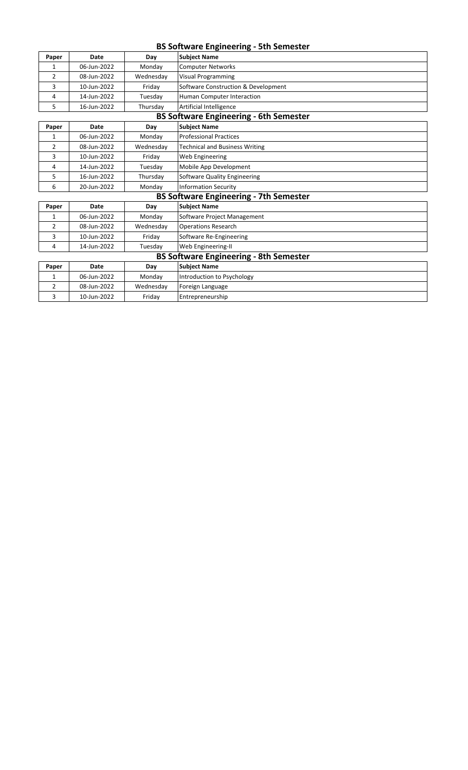| <b>BS Software Engineering - 5th Semester</b> |                                               |           |                                       |  |  |  |  |
|-----------------------------------------------|-----------------------------------------------|-----------|---------------------------------------|--|--|--|--|
| Paper                                         | <b>Date</b>                                   | Day       | <b>Subject Name</b>                   |  |  |  |  |
| 1                                             | 06-Jun-2022                                   | Monday    | <b>Computer Networks</b>              |  |  |  |  |
| 2                                             | 08-Jun-2022                                   | Wednesday | <b>Visual Programming</b>             |  |  |  |  |
| 3                                             | 10-Jun-2022                                   | Friday    | Software Construction & Development   |  |  |  |  |
| 4                                             | 14-Jun-2022                                   | Tuesday   | Human Computer Interaction            |  |  |  |  |
| 5                                             | 16-Jun-2022                                   | Thursday  | <b>Artificial Intelligence</b>        |  |  |  |  |
| <b>BS Software Engineering - 6th Semester</b> |                                               |           |                                       |  |  |  |  |
| Paper                                         | Date                                          | Day       | <b>Subject Name</b>                   |  |  |  |  |
| 1                                             | 06-Jun-2022                                   | Monday    | <b>Professional Practices</b>         |  |  |  |  |
| 2                                             | 08-Jun-2022                                   | Wednesday | <b>Technical and Business Writing</b> |  |  |  |  |
| 3                                             | 10-Jun-2022                                   | Friday    | Web Engineering                       |  |  |  |  |
| 4                                             | 14-Jun-2022                                   | Tuesday   | Mobile App Development                |  |  |  |  |
| 5                                             | 16-Jun-2022                                   | Thursday  | Software Quality Engineering          |  |  |  |  |
| 6                                             | 20-Jun-2022                                   | Monday    | <b>Information Security</b>           |  |  |  |  |
|                                               | <b>BS Software Engineering - 7th Semester</b> |           |                                       |  |  |  |  |
| Paper                                         | Date                                          | Day       | <b>Subject Name</b>                   |  |  |  |  |
| 1                                             | 06-Jun-2022                                   | Monday    | Software Project Management           |  |  |  |  |
| 2                                             | 08-Jun-2022                                   | Wednesday | <b>Operations Research</b>            |  |  |  |  |
| 3                                             | 10-Jun-2022                                   | Friday    | Software Re-Engineering               |  |  |  |  |
| 4                                             | 14-Jun-2022                                   | Tuesday   | Web Engineering-II                    |  |  |  |  |
| <b>BS Software Engineering - 8th Semester</b> |                                               |           |                                       |  |  |  |  |
| Paper                                         | Date                                          | Day       | <b>Subject Name</b>                   |  |  |  |  |
| $\mathbf{1}$                                  | 06-Jun-2022                                   | Monday    | Introduction to Psychology            |  |  |  |  |
| 2                                             | 08-Jun-2022                                   | Wednesday | Foreign Language                      |  |  |  |  |
| 3                                             | 10-Jun-2022                                   | Friday    | Entrepreneurship                      |  |  |  |  |